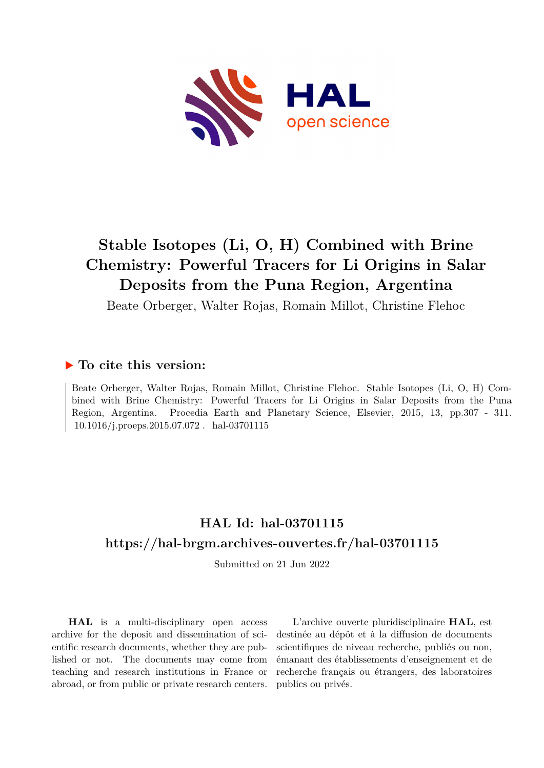

# **Stable Isotopes (Li, O, H) Combined with Brine Chemistry: Powerful Tracers for Li Origins in Salar Deposits from the Puna Region, Argentina**

Beate Orberger, Walter Rojas, Romain Millot, Christine Flehoc

### **To cite this version:**

Beate Orberger, Walter Rojas, Romain Millot, Christine Flehoc. Stable Isotopes (Li, O, H) Combined with Brine Chemistry: Powerful Tracers for Li Origins in Salar Deposits from the Puna Region, Argentina. Procedia Earth and Planetary Science, Elsevier, 2015, 13, pp.307 - 311.  $10.1016/j.proeps.2015.07.072$ . hal-03701115

## **HAL Id: hal-03701115 <https://hal-brgm.archives-ouvertes.fr/hal-03701115>**

Submitted on 21 Jun 2022

**HAL** is a multi-disciplinary open access archive for the deposit and dissemination of scientific research documents, whether they are published or not. The documents may come from teaching and research institutions in France or abroad, or from public or private research centers.

L'archive ouverte pluridisciplinaire **HAL**, est destinée au dépôt et à la diffusion de documents scientifiques de niveau recherche, publiés ou non, émanant des établissements d'enseignement et de recherche français ou étrangers, des laboratoires publics ou privés.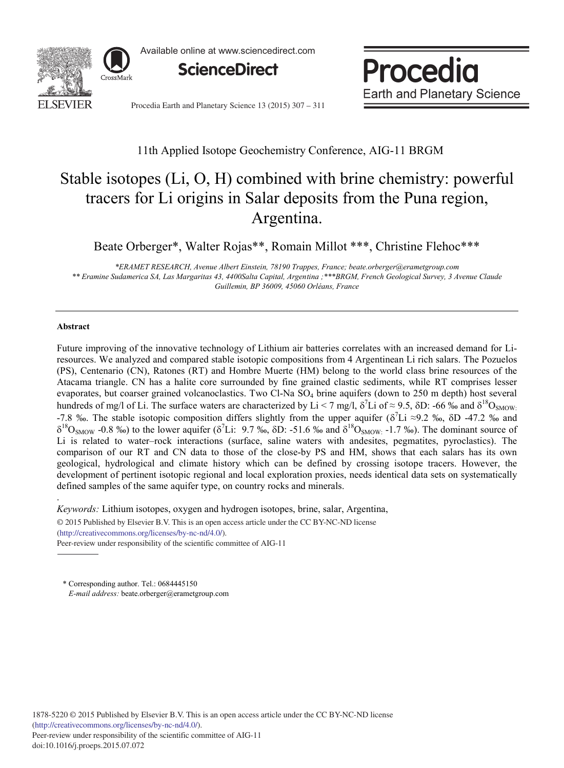

Available online at www.sciencedirect.com



Procedia **Earth and Planetary Science** 

Procedia Earth and Planetary Science 13 (2015) 307 - 311

### 11th Applied Isotope Geochemistry Conference, AIG-11 BRGM

## Stable isotopes (Li, O, H) combined with brine chemistry: powerful tracers for Li origins in Salar deposits from the Puna region, Argentina.

Beate Orberger\*, Walter Rojas\*\*, Romain Millot \*\*\*, Christine Flehoc\*\*\*

*\*ERAMET RESEARCH, Avenue Albert Einstein, 78190 Trappes, France; beate.orberger@erametgroup.com \*\* Eramine Sudamerica SA, Las Margaritas 43, 4400Salta Capital, Argentina ;\*\*\*BRGM, French Geological Survey, 3 Avenue Claude Guillemin, BP 36009, 45060 Orléans, France*

#### **Abstract**

.

Future improving of the innovative technology of Lithium air batteries correlates with an increased demand for Liresources. We analyzed and compared stable isotopic compositions from 4 Argentinean Li rich salars. The Pozuelos (PS), Centenario (CN), Ratones (RT) and Hombre Muerte (HM) belong to the world class brine resources of the Atacama triangle. CN has a halite core surrounded by fine grained clastic sediments, while RT comprises lesser evaporates, but coarser grained volcanoclastics. Two Cl-Na SO<sub>4</sub> brine aquifers (down to 250 m depth) host several hundreds of mg/l of Li. The surface waters are characterized by Li < 7 mg/l,  $\delta'$ Li of ≈ 9.5,  $\delta$ D: -66 ‰ and  $\delta^{18}O_{SMOW}$ -7.8 ‰. The stable isotopic composition differs slightly from the upper aquifer ( $\delta^7$ Li ≈9.2 ‰,  $\delta$ D -47.2 ‰ and  $\delta^{18}O_{SMOW}$  -0.8 ‰) to the lower aquifer ( $\delta^{7}Li$ : 9.7 ‰,  $\delta D$ : -51.6 ‰ and  $\delta^{18}O_{SMOW}$ : -1.7 ‰). The dominant source of Li is related to water–rock interactions (surface, saline waters with andesites, pegmatites, pyroclastics). The comparison of our RT and CN data to those of the close-by PS and HM, shows that each salars has its own geological, hydrological and climate history which can be defined by crossing isotope tracers. However, the development of pertinent isotopic regional and local exploration proxies, needs identical data sets on systematically defined samples of the same aquifer type, on country rocks and minerals.

*Keywords:* Lithium isotopes, oxygen and hydrogen isotopes, brine, salar, Argentina,

© 2015 Published by Elsevier B.V. This is an open access article under the CC BY-NC-ND license (http://creativecommons.org/licenses/by-nc-nd/4.0/).

Peer-review under responsibility of the scientific committee of AIG-11

\* Corresponding author. Tel.: 0684445150 *E-mail address:* beate.orberger@erametgroup.com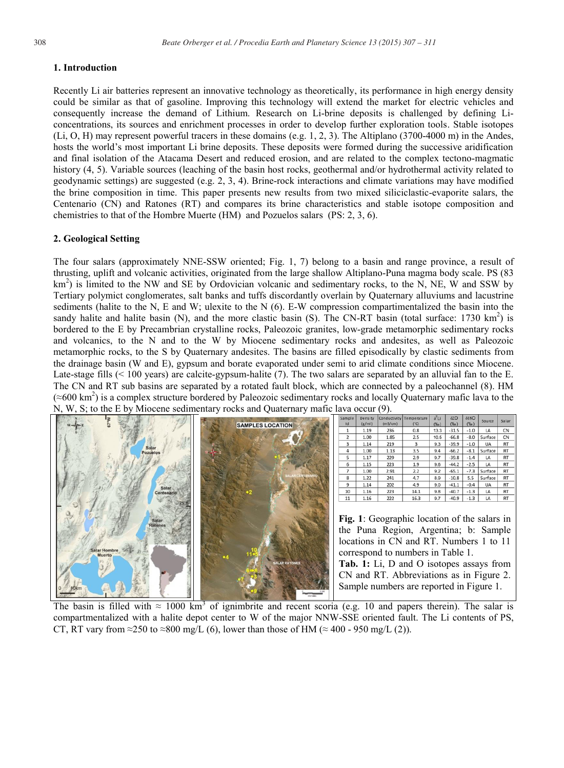#### **1. Introduction**

Recently Li air batteries represent an innovative technology as theoretically, its performance in high energy density could be similar as that of gasoline. Improving this technology will extend the market for electric vehicles and consequently increase the demand of Lithium. Research on Li-brine deposits is challenged by defining Liconcentrations, its sources and enrichment processes in order to develop further exploration tools. Stable isotopes (Li, O, H) may represent powerful tracers in these domains (e.g. 1, 2, 3). The Altiplano (3700-4000 m) in the Andes, hosts the world's most important Li brine deposits. These deposits were formed during the successive aridification and final isolation of the Atacama Desert and reduced erosion, and are related to the complex tectono-magmatic history (4, 5). Variable sources (leaching of the basin host rocks, geothermal and/or hydrothermal activity related to geodynamic settings) are suggested (e.g. 2, 3, 4). Brine-rock interactions and climate variations may have modified the brine composition in time. This paper presents new results from two mixed siliciclastic-evaporite salars, the Centenario (CN) and Ratones (RT) and compares its brine characteristics and stable isotope composition and chemistries to that of the Hombre Muerte (HM) and Pozuelos salars (PS: 2, 3, 6).

#### **2. Geological Setting**

The four salars (approximately NNE-SSW oriented; Fig. 1, 7) belong to a basin and range province, a result of thrusting, uplift and volcanic activities, originated from the large shallow Altiplano-Puna magma body scale. PS (83 km<sup>2</sup>) is limited to the NW and SE by Ordovician volcanic and sedimentary rocks, to the N, NE, W and SSW by Tertiary polymict conglomerates, salt banks and tuffs discordantly overlain by Quaternary alluviums and lacustrine sediments (halite to the N, E and W; ulexite to the N (6). E-W compression compartimentalized the basin into the sandy halite and halite basin (N), and the more clastic basin (S). The CN-RT basin (total surface: 1730 km<sup>2</sup>) is bordered to the E by Precambrian crystalline rocks, Paleozoic granites, low-grade metamorphic sedimentary rocks and volcanics, to the N and to the W by Miocene sedimentary rocks and andesites, as well as Paleozoic metamorphic rocks, to the S by Quaternary andesites. The basins are filled episodically by clastic sediments from the drainage basin (W and E), gypsum and borate evaporated under semi to arid climate conditions since Miocene. Late-stage fills (< 100 years) are calcite-gypsum-halite (7). The two salars are separated by an alluvial fan to the E. The CN and RT sub basins are separated by a rotated fault block, which are connected by a paleochannel (8). HM  $(\approx 600 \text{ km}^2)$  is a complex structure bordered by Paleozoic sedimentary rocks and locally Quaternary mafic lava to the N, W, S; to the E by Miocene sedimentary rocks and Quaternary mafic lava occur (9).



The basin is filled with  $\approx 1000 \text{ km}^3$  of ignimbrite and recent scoria (e.g. 10 and papers therein). The salar is compartmentalized with a halite depot center to W of the major NNW-SSE oriented fault. The Li contents of PS, CT, RT vary from ≈250 to ≈800 mg/L (6), lower than those of HM (≈ 400 - 950 mg/L (2)).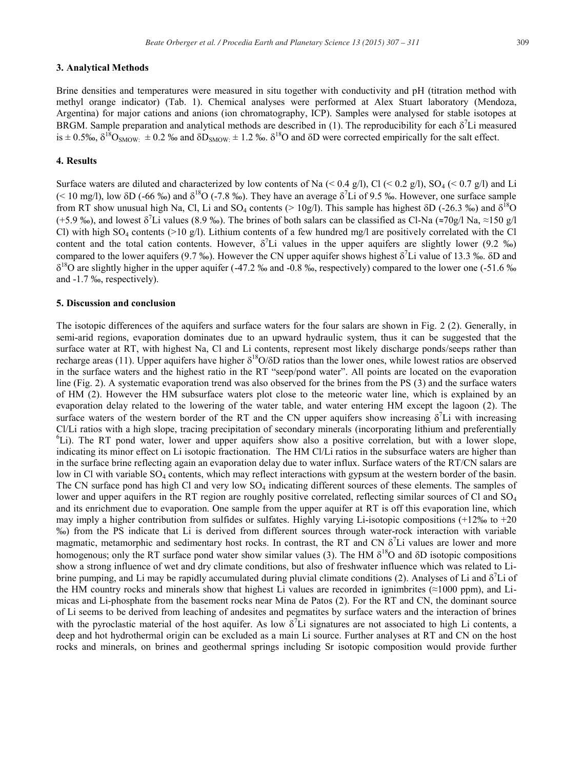#### **3. Analytical Methods**

Brine densities and temperatures were measured in situ together with conductivity and pH (titration method with methyl orange indicator) (Tab. 1). Chemical analyses were performed at Alex Stuart laboratory (Mendoza, Argentina) for major cations and anions (ion chromatography, ICP). Samples were analysed for stable isotopes at BRGM. Sample preparation and analytical methods are described in (1). The reproducibility for each  $\delta^7$ Li measured is  $\pm$  0.5‰,  $\delta^{18}O_{SMOW}$ :  $\pm$  0.2 ‰ and  $\delta D_{SMOW}$ :  $\pm$  1.2 ‰.  $\delta^{18}O$  and  $\delta D$  were corrected empirically for the salt effect.

#### **4. Results**

Surface waters are diluted and characterized by low contents of Na  $(0.4 \text{ g/l})$ , Cl  $(0.2 \text{ g/l})$ , SO<sub>4</sub> $(0.7 \text{ g/l})$  and Li (< 10 mg/l), low  $\delta D$  (-66 ‰) and  $\delta^{18}O$  (-7.8 ‰). They have an average  $\delta^{7}Li$  of 9.5 ‰. However, one surface sample from RT show unusual high Na, Cl, Li and SO<sub>4</sub> contents (> 10g/l). This sample has highest  $\delta$ D (-26.3 ‰) and  $\delta^{18}$ O (+5.9 ‰), and lowest  $\delta^7$ Li values (8.9 ‰). The brines of both salars can be classified as Cl-Na (≈70g/l Na, ≈150 g/l Cl) with high SO<sub>4</sub> contents (>10 g/l). Lithium contents of a few hundred mg/l are positively correlated with the Cl content and the total cation contents. However,  $\delta^7$ Li values in the upper aquifers are slightly lower (9.2 ‰) compared to the lower aquifers (9.7 ‰). However the CN upper aquifer shows highest  $\delta^7$ Li value of 13.3 ‰.  $\delta$ D and  $\delta^{18}$ O are slightly higher in the upper aquifer (-47.2 ‰ and -0.8 ‰, respectively) compared to the lower one (-51.6 ‰ and -1.7 ‰, respectively).

#### **5. Discussion and conclusion**

The isotopic differences of the aquifers and surface waters for the four salars are shown in Fig. 2 (2). Generally, in semi-arid regions, evaporation dominates due to an upward hydraulic system, thus it can be suggested that the surface water at RT, with highest Na, Cl and Li contents, represent most likely discharge ponds/seeps rather than recharge areas (11). Upper aquifers have higher  $\delta^{18}O/\delta D$  ratios than the lower ones, while lowest ratios are observed in the surface waters and the highest ratio in the RT "seep/pond water". All points are located on the evaporation line (Fig. 2). A systematic evaporation trend was also observed for the brines from the PS (3) and the surface waters of HM (2). However the HM subsurface waters plot close to the meteoric water line, which is explained by an evaporation delay related to the lowering of the water table, and water entering HM except the lagoon (2). The surface waters of the western border of the RT and the CN upper aquifers show increasing  $\delta^7$ Li with increasing Cl/Li ratios with a high slope, tracing precipitation of secondary minerals (incorporating lithium and preferentially 6  ${}^{\circ}$ Li). The RT pond water, lower and upper aquifers show also a positive correlation, but with a lower slope, indicating its minor effect on Li isotopic fractionation. The HM Cl/Li ratios in the subsurface waters are higher than in the surface brine reflecting again an evaporation delay due to water influx. Surface waters of the RT/CN salars are low in Cl with variable SO<sub>4</sub> contents, which may reflect interactions with gypsum at the western border of the basin. The CN surface pond has high Cl and very low  $SO_4$  indicating different sources of these elements. The samples of lower and upper aquifers in the RT region are roughly positive correlated, reflecting similar sources of Cl and SO<sub>4</sub> and its enrichment due to evaporation. One sample from the upper aquifer at RT is off this evaporation line, which may imply a higher contribution from sulfides or sulfates. Highly varying Li-isotopic compositions (+12‰ to +20 ‰) from the PS indicate that Li is derived from different sources through water-rock interaction with variable magmatic, metamorphic and sedimentary host rocks. In contrast, the RT and CN  $\delta^7$ Li values are lower and more homogenous; only the RT surface pond water show similar values (3). The HM  $\delta^{18}O$  and  $\delta D$  isotopic compositions show a strong influence of wet and dry climate conditions, but also of freshwater influence which was related to Librine pumping, and Li may be rapidly accumulated during pluvial climate conditions (2). Analyses of Li and  $\delta^7$ Li of the HM country rocks and minerals show that highest Li values are recorded in ignimbrites (≈1000 ppm), and Limicas and Li-phosphate from the basement rocks near Mina de Patos (2). For the RT and CN, the dominant source of Li seems to be derived from leaching of andesites and pegmatites by surface waters and the interaction of brines with the pyroclastic material of the host aquifer. As low  $\delta^7$ Li signatures are not associated to high Li contents, a deep and hot hydrothermal origin can be excluded as a main Li source. Further analyses at RT and CN on the host rocks and minerals, on brines and geothermal springs including Sr isotopic composition would provide further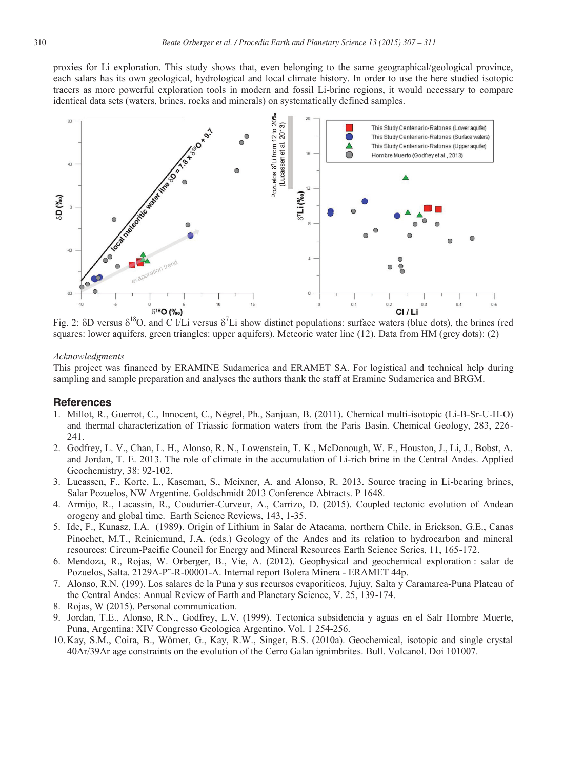proxies for Li exploration. This study shows that, even belonging to the same geographical/geological province, each salars has its own geological, hydrological and local climate history. In order to use the here studied isotopic tracers as more powerful exploration tools in modern and fossil Li-brine regions, it would necessary to compare identical data sets (waters, brines, rocks and minerals) on systematically defined samples.



Fig. 2:  $\delta$ D versus  $\delta^{18}$ O, and C l/Li versus  $\delta^{7}$ Li show distinct populations: surface waters (blue dots), the brines (red squares: lower aquifers, green triangles: upper aquifers). Meteoric water line (12). Data from HM (grey dots): (2)

#### *Acknowledgments*

This project was financed by ERAMINE Sudamerica and ERAMET SA. For logistical and technical help during sampling and sample preparation and analyses the authors thank the staff at Eramine Sudamerica and BRGM.

#### **References**

- 1. Millot, R., Guerrot, C., Innocent, C., Négrel, Ph., Sanjuan, B. (2011). Chemical multi-isotopic (Li-B-Sr-U-H-O) and thermal characterization of Triassic formation waters from the Paris Basin. Chemical Geology, 283, 226- 241.
- 2. Godfrey, L. V., Chan, L. H., Alonso, R. N., Lowenstein, T. K., McDonough, W. F., Houston, J., Li, J., Bobst, A. and Jordan, T. E. 2013. The role of climate in the accumulation of Li-rich brine in the Central Andes. Applied Geochemistry, 38: 92-102.
- 3. Lucassen, F., Korte, L., Kaseman, S., Meixner, A. and Alonso, R. 2013. Source tracing in Li-bearing brines, Salar Pozuelos, NW Argentine. Goldschmidt 2013 Conference Abtracts. P 1648.
- 4. Armijo, R., Lacassin, R., Coudurier-Curveur, A., Carrizo, D. (2015). Coupled tectonic evolution of Andean orogeny and global time. Earth Science Reviews, 143, 1-35.
- 5. Ide, F., Kunasz, I.A. (1989). Origin of Lithium in Salar de Atacama, northern Chile, in Erickson, G.E., Canas Pinochet, M.T., Reiniemund, J.A. (eds.) Geology of the Andes and its relation to hydrocarbon and mineral resources: Circum-Pacific Council for Energy and Mineral Resources Earth Science Series, 11, 165-172.
- 6. Mendoza, R., Rojas, W. Orberger, B., Vie, A. (2012). Geophysical and geochemical exploration : salar de Pozuelos, Salta. 2129A-P¨-R-00001-A. Internal report Bolera Minera - ERAMET 44p.
- 7. Alonso, R.N. (199). Los salares de la Puna y sus recursos evaporiticos, Jujuy, Salta y Caramarca-Puna Plateau of the Central Andes: Annual Review of Earth and Planetary Science, V. 25, 139-174.
- 8. Rojas, W (2015). Personal communication.
- 9. Jordan, T.E., Alonso, R.N., Godfrey, L.V. (1999). Tectonica subsidencia y aguas en el Salr Hombre Muerte, Puna, Argentina: XIV Congresso Geologica Argentino. Vol. 1 254-256.
- 10. Kay, S.M., Coira, B., Wörner, G., Kay, R.W., Singer, B.S. (2010a). Geochemical, isotopic and single crystal 40Ar/39Ar age constraints on the evolution of the Cerro Galan ignimbrites. Bull. Volcanol. Doi 101007.